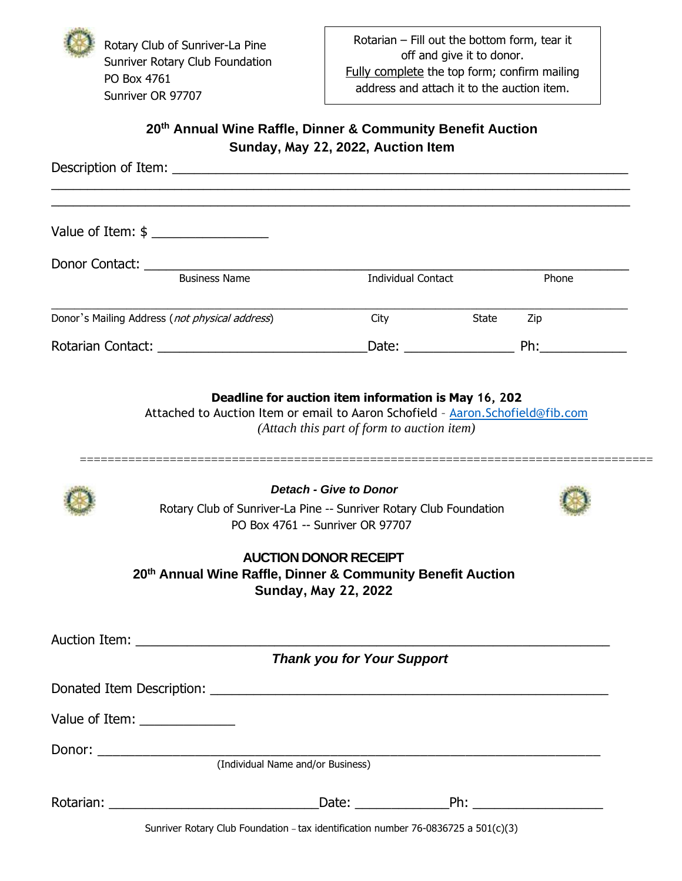Rotary Club of Sunriver-La Pine Sunriver Rotary Club Foundation PO Box 4761 Sunriver OR 97707

## **20th Annual Wine Raffle, Dinner & Community Benefit Auction Sunday, May 22, 2022, Auction Item**

|               |                                                                    | <b>Juliuay, May 22, 2022, Auction Reni</b>                                                 |                |       |
|---------------|--------------------------------------------------------------------|--------------------------------------------------------------------------------------------|----------------|-------|
|               |                                                                    |                                                                                            |                |       |
|               |                                                                    | <b>Individual Contact</b>                                                                  |                | Phone |
|               | Donor's Mailing Address (not physical address)                     |                                                                                            | City State Zip |       |
|               |                                                                    |                                                                                            |                |       |
|               | Rotary Club of Sunriver-La Pine -- Sunriver Rotary Club Foundation | Detach - Give to Donor<br>PO Box 4761 -- Sunriver OR 97707<br><b>AUCTION DONOR RECEIPT</b> |                |       |
|               | 20th Annual Wine Raffle, Dinner & Community Benefit Auction        | <b>Sunday, May 22, 2022</b>                                                                |                |       |
| Auction Item: |                                                                    | <b>Thank you for Your Support</b>                                                          |                |       |
|               |                                                                    |                                                                                            |                |       |
|               | Value of Item: ______________                                      |                                                                                            |                |       |
|               |                                                                    |                                                                                            |                |       |
|               | (Individual Name and/or Business)                                  |                                                                                            |                |       |

Rotarian: \_\_\_\_\_\_\_\_\_\_\_\_\_\_\_\_\_\_\_\_\_\_\_\_\_\_\_\_\_Date: \_\_\_\_\_\_\_\_\_\_\_\_\_Ph: \_\_\_\_\_\_\_\_\_\_\_\_\_\_\_\_\_\_

Sunriver Rotary Club Foundation – tax identification number 76-0836725 a 501(c)(3)